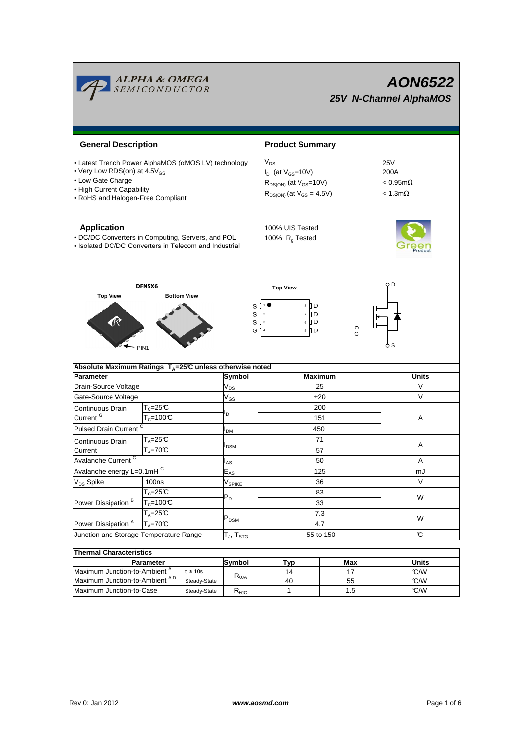

| Thermal Unaracteristics                  |               |                        |     |     |       |  |  |  |  |  |
|------------------------------------------|---------------|------------------------|-----|-----|-------|--|--|--|--|--|
| Parameter                                |               | Symbol                 | Tvp | Max | Units |  |  |  |  |  |
| Maximum Junction-to-Ambient <sup>A</sup> | t $\leq 10$ s |                        | 14  |     | C/W   |  |  |  |  |  |
| Maximum Junction-to-Ambient AD           | Steady-State  | $R_{\theta$ JA         | 40  | 55  | C/W   |  |  |  |  |  |
| Maximum Junction-to-Case                 | Steady-State  | $R_{\theta \text{JC}}$ |     | l.b | C/W   |  |  |  |  |  |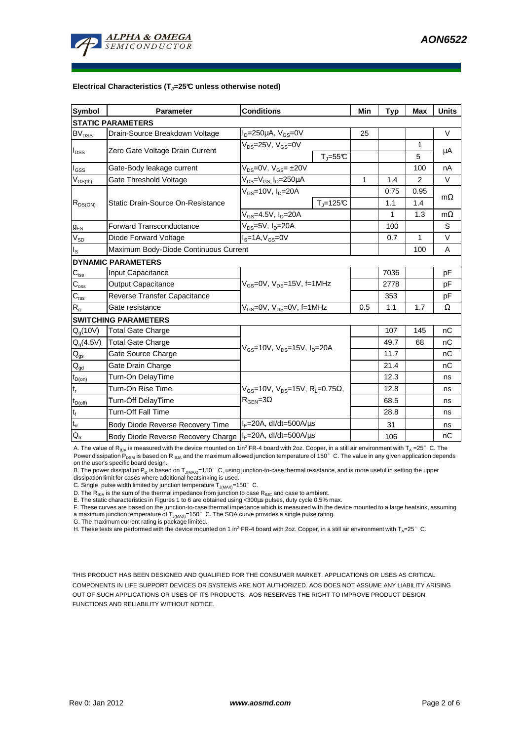

#### **Electrical Characteristics (TJ=25°C unless otherwise noted)**

| <b>Symbol</b>                          | <b>Parameter</b>                      | <b>Conditions</b>                                                                                |                          | Min | Typ  | Max          | <b>Units</b> |  |  |  |  |
|----------------------------------------|---------------------------------------|--------------------------------------------------------------------------------------------------|--------------------------|-----|------|--------------|--------------|--|--|--|--|
| <b>STATIC PARAMETERS</b>               |                                       |                                                                                                  |                          |     |      |              |              |  |  |  |  |
| <b>BV<sub>DSS</sub></b>                | Drain-Source Breakdown Voltage        | $I_D = 250 \mu A$ , $V_{GS} = 0V$                                                                |                          | 25  |      |              | $\vee$       |  |  |  |  |
| $I_{DSS}$                              | Zero Gate Voltage Drain Current       | $V_{DS}$ =25V, $V_{GS}$ =0V                                                                      |                          |     |      | $\mathbf{1}$ | μA           |  |  |  |  |
|                                        |                                       | $T_{J} = 55$ °C                                                                                  |                          |     |      | 5            |              |  |  |  |  |
| $I_{GSS}$                              | Gate-Body leakage current             | $V_{DS} = 0V$ , $V_{GS} = \pm 20V$                                                               |                          |     |      | 100          | nA           |  |  |  |  |
| $V_{GS(th)}$                           | Gate Threshold Voltage                | V <sub>DS</sub> =V <sub>GS.</sub> I <sub>D</sub> =250µA                                          |                          | 1   | 1.4  | 2            | V            |  |  |  |  |
| $R_{DS(ON)}$                           | Static Drain-Source On-Resistance     | $V_{GS}$ =10V, $I_{D}$ =20A                                                                      |                          |     | 0.75 | 0.95         |              |  |  |  |  |
|                                        |                                       |                                                                                                  | $T_{\parallel} = 125$ °C |     | 1.1  | 1.4          | $m\Omega$    |  |  |  |  |
|                                        |                                       | $V_{GS} = 4.5V, I_D = 20A$                                                                       |                          |     | 1    | 1.3          | $m\Omega$    |  |  |  |  |
| $g_{FS}$                               | <b>Forward Transconductance</b>       | $V_{DS}=5V$ , $I_D=20A$                                                                          |                          |     | 100  |              | S            |  |  |  |  |
| $V_{SD}$                               | Diode Forward Voltage                 | $IS=1A, VGS=0V$                                                                                  |                          |     | 0.7  | $\mathbf 1$  | $\vee$       |  |  |  |  |
| $I_{\rm S}$                            | Maximum Body-Diode Continuous Current |                                                                                                  |                          |     |      | 100          | A            |  |  |  |  |
|                                        | <b>DYNAMIC PARAMETERS</b>             |                                                                                                  |                          |     |      |              |              |  |  |  |  |
| $C_{\text{iss}}$                       | Input Capacitance                     | V <sub>GS</sub> =0V, V <sub>DS</sub> =15V, f=1MHz                                                |                          |     | 7036 |              | pF           |  |  |  |  |
| $C_{\rm oss}$                          | <b>Output Capacitance</b>             |                                                                                                  |                          |     | 2778 |              | pF           |  |  |  |  |
| $C_{\text{rss}}$                       | Reverse Transfer Capacitance          |                                                                                                  |                          |     | 353  |              | pF           |  |  |  |  |
| $R_{g}$                                | Gate resistance                       | $V_{GS}$ =0V, $V_{DS}$ =0V, f=1MHz                                                               |                          | 0.5 | 1.1  | 1.7          | Ω            |  |  |  |  |
|                                        | <b>SWITCHING PARAMETERS</b>           |                                                                                                  |                          |     |      |              |              |  |  |  |  |
| $Q_q(10V)$                             | <b>Total Gate Charge</b>              | $V_{\text{GS}}$ =10V, $V_{\text{DS}}$ =15V, $I_{\text{D}}$ =20A                                  |                          |     | 107  | 145          | nC           |  |  |  |  |
| $Q_g(4.5V)$                            | <b>Total Gate Charge</b>              |                                                                                                  |                          |     | 49.7 | 68           | nC           |  |  |  |  |
| $Q_{gs}$                               | Gate Source Charge                    |                                                                                                  |                          |     | 11.7 |              | nC           |  |  |  |  |
| $\mathsf{Q}_{\underline{\mathsf{gd}}}$ | Gate Drain Charge                     |                                                                                                  |                          |     | 21.4 |              | nC           |  |  |  |  |
| $t_{D(0n)}$                            | Turn-On DelayTime                     | $V_{\text{GS}}$ =10V, $V_{\text{DS}}$ =15V, $R_{\text{I}}$ =0.75Ω,<br>$R_{\text{GEN}} = 3\Omega$ |                          |     | 12.3 |              | ns           |  |  |  |  |
| $t_r$                                  | Turn-On Rise Time                     |                                                                                                  |                          |     | 12.8 |              | ns           |  |  |  |  |
| $t_{D(off)}$                           | Turn-Off DelayTime                    |                                                                                                  |                          |     | 68.5 |              | ns           |  |  |  |  |
| $\mathbf{t}_\text{f}$                  | Turn-Off Fall Time                    |                                                                                                  |                          |     | 28.8 |              | ns           |  |  |  |  |
| $t_{rr}$                               | Body Diode Reverse Recovery Time      | $I_F = 20A$ , dl/dt=500A/ $\mu$ s                                                                |                          |     | 31   |              | ns           |  |  |  |  |
| $Q_{rr}$                               | Body Diode Reverse Recovery Charge    | $IF=20A$ , dl/dt=500A/ $\mu$ s                                                                   |                          |     | 106  |              | nC           |  |  |  |  |

A. The value of R<sub>θJA</sub> is measured with the device mounted on 1in<sup>2</sup> FR-4 board with 2oz. Copper, in a still air environment with T<sub>A</sub> =25°C. The Power dissipation  $P_{DSM}$  is based on R  $_{0JA}$  and the maximum allowed junction temperature of 150° C. The value in any given application depends on the user's specific board design.

B. The power dissipation P<sub>D</sub> is based on T<sub>J(MAX)</sub>=150°C, using junction-to-case thermal resistance, and is more useful in setting the upper dissipation limit for cases where additional heatsinking is used.

C. Single pulse width limited by junction temperature  $T_{J(MAX)}$ =150°C.

D. The  $R_{\theta_0A}$  is the sum of the thermal impedance from junction to case  $R_{\theta_0C}$  and case to ambient.

E. The static characteristics in Figures 1 to 6 are obtained using <300µs pulses, duty cycle 0.5% max.

F. These curves are based on the junction-to-case thermal impedance which is measured with the device mounted to a large heatsink, assuming a maximum junction temperature of T<sub>J(MAX)</sub>=150°C. The SOA curve provides a single pulse rating.<br>G. The maximum current rating is package limited.

H. These tests are performed with the device mounted on 1 in<sup>2</sup> FR-4 board with 2oz. Copper, in a still air environment with T<sub>A</sub>=25°C.

THIS PRODUCT HAS BEEN DESIGNED AND QUALIFIED FOR THE CONSUMER MARKET. APPLICATIONS OR USES AS CRITICAL COMPONENTS IN LIFE SUPPORT DEVICES OR SYSTEMS ARE NOT AUTHORIZED. AOS DOES NOT ASSUME ANY LIABILITY ARISING OUT OF SUCH APPLICATIONS OR USES OF ITS PRODUCTS. AOS RESERVES THE RIGHT TO IMPROVE PRODUCT DESIGN, FUNCTIONS AND RELIABILITY WITHOUT NOTICE.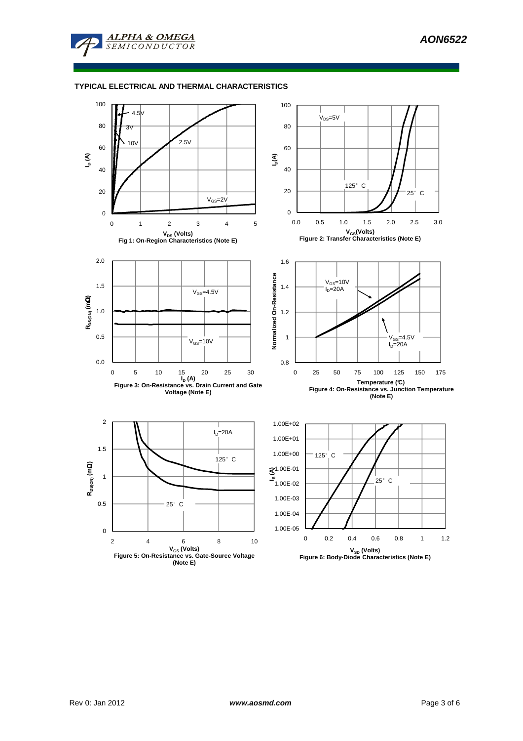

## **TYPICAL ELECTRICAL AND THERMAL CHARACTERISTICS**

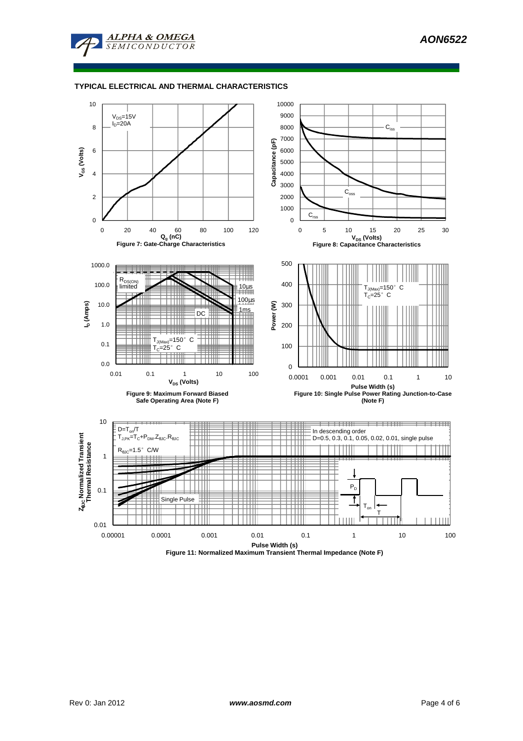

### **TYPICAL ELECTRICAL AND THERMAL CHARACTERISTICS**



**Figure 11: Normalized Maximum Transient Thermal Impedance (Note F)**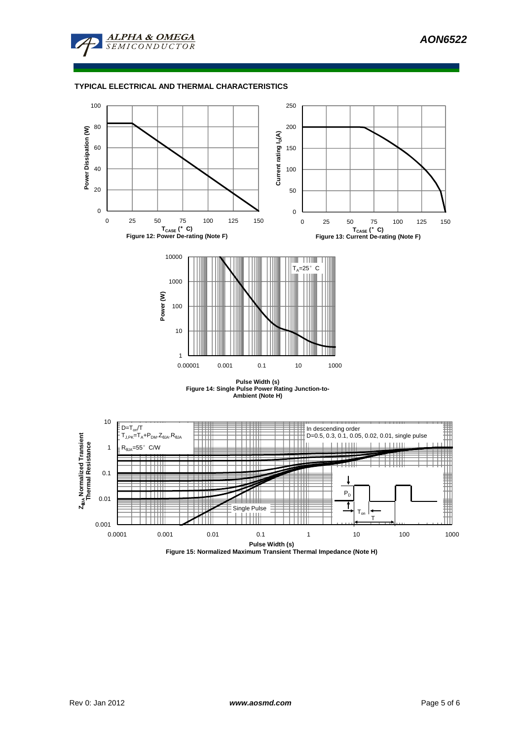

## **TYPICAL ELECTRICAL AND THERMAL CHARACTERISTICS**



**Pulse Width (s) Figure 14: Single Pulse Power Rating Junction-to-Ambient (Note H)**